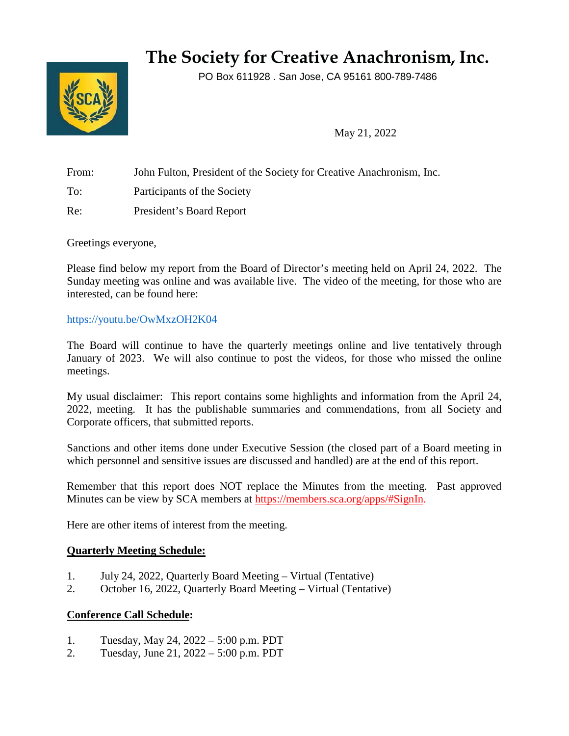# **The Society for Creative Anachronism, Inc.**

PO Box 611928 . San Jose, CA 95161 800-789-7486



May 21, 2022

From: John Fulton, President of the Society for Creative Anachronism, Inc. To: Participants of the Society

Re: President's Board Report

Greetings everyone,

Please find below my report from the Board of Director's meeting held on April 24, 2022. The Sunday meeting was online and was available live. The video of the meeting, for those who are interested, can be found here:

## <https://youtu.be/OwMxzOH2K04>

The Board will continue to have the quarterly meetings online and live tentatively through January of 2023. We will also continue to post the videos, for those who missed the online meetings.

My usual disclaimer: This report contains some highlights and information from the April 24, 2022, meeting. It has the publishable summaries and commendations, from all Society and Corporate officers, that submitted reports.

Sanctions and other items done under Executive Session (the closed part of a Board meeting in which personnel and sensitive issues are discussed and handled) are at the end of this report.

Remember that this report does NOT replace the Minutes from the meeting. Past approved Minutes can be view by SCA members at [https://members.sca.org/apps/#SignIn.](https://members.sca.org/apps/#SignIn)

Here are other items of interest from the meeting.

## **Quarterly Meeting Schedule:**

- 1. July 24, 2022, Quarterly Board Meeting Virtual (Tentative)
- 2. October 16, 2022, Quarterly Board Meeting Virtual (Tentative)

## **Conference Call Schedule:**

- 1. Tuesday, May 24, 2022 5:00 p.m. PDT
- 2. Tuesday, June 21, 2022 5:00 p.m. PDT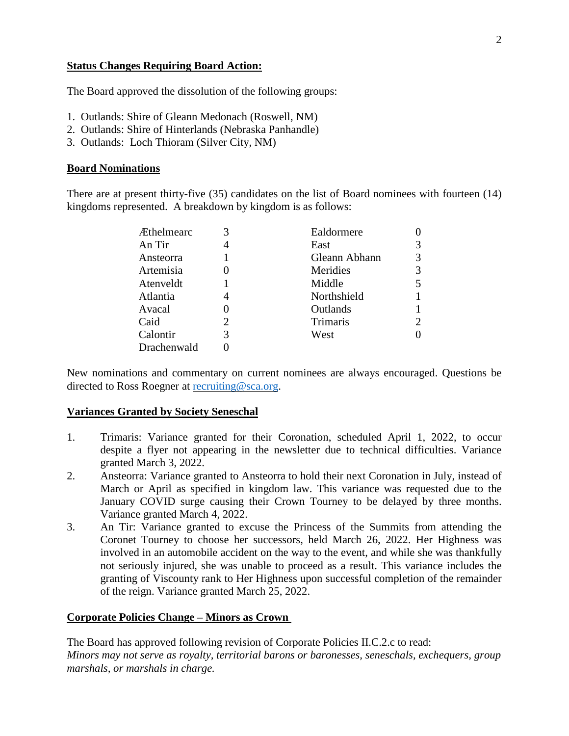#### **Status Changes Requiring Board Action:**

The Board approved the dissolution of the following groups:

- 1. Outlands: Shire of Gleann Medonach (Roswell, NM)
- 2. Outlands: Shire of Hinterlands (Nebraska Panhandle)
- 3. Outlands: Loch Thioram (Silver City, NM)

#### **Board Nominations**

There are at present thirty-five (35) candidates on the list of Board nominees with fourteen (14) kingdoms represented. A breakdown by kingdom is as follows:

| <b>Æthelmearc</b> |   | Ealdormere      |                |
|-------------------|---|-----------------|----------------|
| An Tir            |   | East            | 3              |
| Ansteorra         |   | Gleann Abhann   | 3              |
| Artemisia         |   | Meridies        | 3              |
| Atenveldt         |   | Middle          | 5              |
| Atlantia          |   | Northshield     |                |
| Avacal            |   | Outlands        |                |
| Caid              |   | <b>Trimaris</b> | $\overline{2}$ |
| Calontir          | 3 | West            | 0              |
| Drachenwald       |   |                 |                |
|                   |   |                 |                |

New nominations and commentary on current nominees are always encouraged. Questions be directed to Ross Roegner at [recruiting@sca.org.](mailto:recruiting@sca.org)

#### **Variances Granted by Society Seneschal**

- 1. Trimaris: Variance granted for their Coronation, scheduled April 1, 2022, to occur despite a flyer not appearing in the newsletter due to technical difficulties. Variance granted March 3, 2022.
- 2. Ansteorra: Variance granted to Ansteorra to hold their next Coronation in July, instead of March or April as specified in kingdom law. This variance was requested due to the January COVID surge causing their Crown Tourney to be delayed by three months. Variance granted March 4, 2022.
- 3. An Tir: Variance granted to excuse the Princess of the Summits from attending the Coronet Tourney to choose her successors, held March 26, 2022. Her Highness was involved in an automobile accident on the way to the event, and while she was thankfully not seriously injured, she was unable to proceed as a result. This variance includes the granting of Viscounty rank to Her Highness upon successful completion of the remainder of the reign. Variance granted March 25, 2022.

#### **Corporate Policies Change – Minors as Crown**

The Board has approved following revision of Corporate Policies II.C.2.c to read: *Minors may not serve as royalty, territorial barons or baronesses, seneschals, exchequers, group marshals, or marshals in charge.*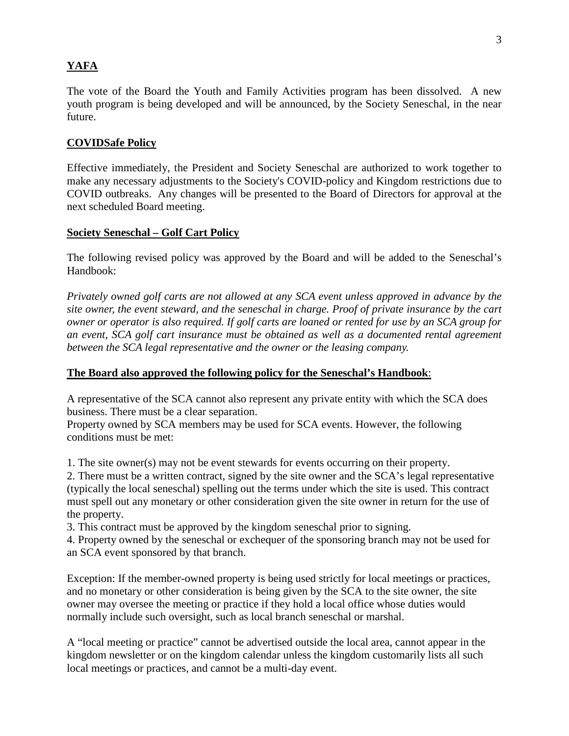# **YAFA**

The vote of the Board the Youth and Family Activities program has been dissolved. A new youth program is being developed and will be announced, by the Society Seneschal, in the near future.

## **COVIDSafe Policy**

Effective immediately, the President and Society Seneschal are authorized to work together to make any necessary adjustments to the Society's COVID-policy and Kingdom restrictions due to COVID outbreaks. Any changes will be presented to the Board of Directors for approval at the next scheduled Board meeting.

## **Society Seneschal – Golf Cart Policy**

The following revised policy was approved by the Board and will be added to the Seneschal's Handbook:

*Privately owned golf carts are not allowed at any SCA event unless approved in advance by the site owner, the event steward, and the seneschal in charge. Proof of private insurance by the cart owner or operator is also required. If golf carts are loaned or rented for use by an SCA group for an event, SCA golf cart insurance must be obtained as well as a documented rental agreement between the SCA legal representative and the owner or the leasing company.* 

## **The Board also approved the following policy for the Seneschal's Handbook**:

A representative of the SCA cannot also represent any private entity with which the SCA does business. There must be a clear separation.

Property owned by SCA members may be used for SCA events. However, the following conditions must be met:

1. The site owner(s) may not be event stewards for events occurring on their property.

2. There must be a written contract, signed by the site owner and the SCA's legal representative (typically the local seneschal) spelling out the terms under which the site is used. This contract must spell out any monetary or other consideration given the site owner in return for the use of the property.

3. This contract must be approved by the kingdom seneschal prior to signing.

4. Property owned by the seneschal or exchequer of the sponsoring branch may not be used for an SCA event sponsored by that branch.

Exception: If the member-owned property is being used strictly for local meetings or practices, and no monetary or other consideration is being given by the SCA to the site owner, the site owner may oversee the meeting or practice if they hold a local office whose duties would normally include such oversight, such as local branch seneschal or marshal.

A "local meeting or practice" cannot be advertised outside the local area, cannot appear in the kingdom newsletter or on the kingdom calendar unless the kingdom customarily lists all such local meetings or practices, and cannot be a multi-day event.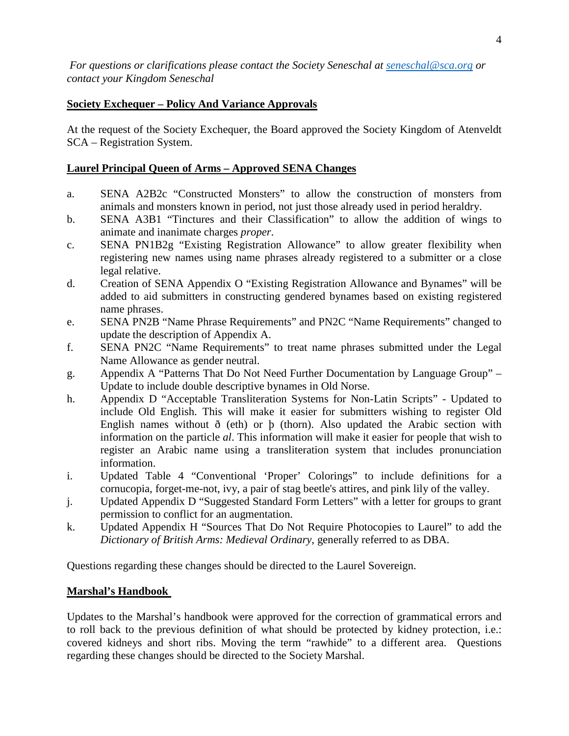# **Society Exchequer – Policy And Variance Approvals**

At the request of the Society Exchequer, the Board approved the Society Kingdom of Atenveldt SCA – Registration System.

# **Laurel Principal Queen of Arms – Approved SENA Changes**

- a. SENA A2B2c "Constructed Monsters" to allow the construction of monsters from animals and monsters known in period, not just those already used in period heraldry.
- b. SENA A3B1 "Tinctures and their Classification" to allow the addition of wings to animate and inanimate charges *proper*.
- c. SENA PN1B2g "Existing Registration Allowance" to allow greater flexibility when registering new names using name phrases already registered to a submitter or a close legal relative.
- d. Creation of SENA Appendix O "Existing Registration Allowance and Bynames" will be added to aid submitters in constructing gendered bynames based on existing registered name phrases.
- e. SENA PN2B "Name Phrase Requirements" and PN2C "Name Requirements" changed to update the description of Appendix A.
- f. SENA PN2C "Name Requirements" to treat name phrases submitted under the Legal Name Allowance as gender neutral.
- g. Appendix A "Patterns That Do Not Need Further Documentation by Language Group" Update to include double descriptive bynames in Old Norse.
- h. Appendix D "Acceptable Transliteration Systems for Non-Latin Scripts" Updated to include Old English. This will make it easier for submitters wishing to register Old English names without  $\delta$  (eth) or  $\beta$  (thorn). Also updated the Arabic section with information on the particle *al*. This information will make it easier for people that wish to register an Arabic name using a transliteration system that includes pronunciation information.
- i. Updated Table 4 "Conventional 'Proper' Colorings" to include definitions for a cornucopia, forget-me-not, ivy, a pair of stag beetle's attires, and pink lily of the valley.
- j. Updated Appendix D "Suggested Standard Form Letters" with a letter for groups to grant permission to conflict for an augmentation.
- k. Updated Appendix H "Sources That Do Not Require Photocopies to Laurel" to add the *Dictionary of British Arms: Medieval Ordinary*, generally referred to as DBA.

Questions regarding these changes should be directed to the Laurel Sovereign.

# **Marshal's Handbook**

Updates to the Marshal's handbook were approved for the correction of grammatical errors and to roll back to the previous definition of what should be protected by kidney protection, i.e.: covered kidneys and short ribs. Moving the term "rawhide" to a different area. Questions regarding these changes should be directed to the Society Marshal.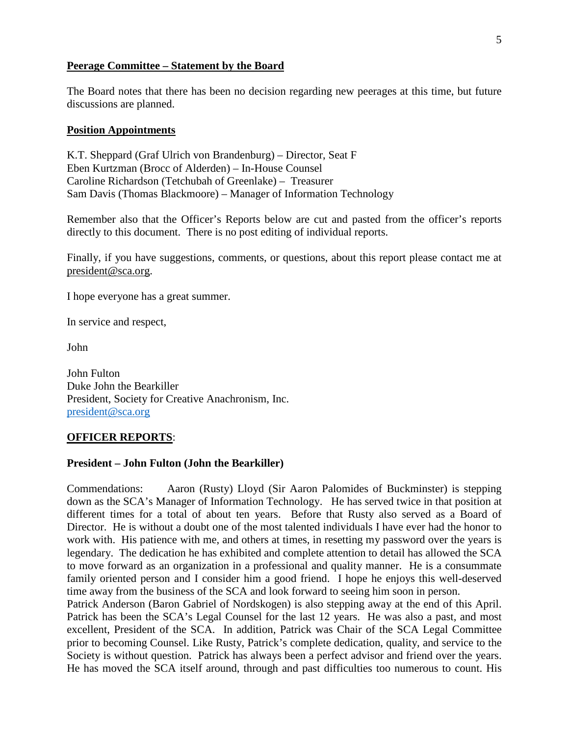#### **Peerage Committee – Statement by the Board**

The Board notes that there has been no decision regarding new peerages at this time, but future discussions are planned.

#### **Position Appointments**

K.T. Sheppard (Graf Ulrich von Brandenburg) – Director, Seat F Eben Kurtzman (Brocc of Alderden) – In-House Counsel Caroline Richardson (Tetchubah of Greenlake) – Treasurer Sam Davis (Thomas Blackmoore) – Manager of Information Technology

Remember also that the Officer's Reports below are cut and pasted from the officer's reports directly to this document. There is no post editing of individual reports.

Finally, if you have suggestions, comments, or questions, about this report please contact me at [president@sca.org.](mailto:president@sca.org)

I hope everyone has a great summer.

In service and respect,

John

John Fulton Duke John the Bearkiller President, Society for Creative Anachronism, Inc. [president@sca.org](mailto:president@sca.org)

#### **OFFICER REPORTS**:

#### **President – John Fulton (John the Bearkiller)**

Commendations: Aaron (Rusty) Lloyd (Sir Aaron Palomides of Buckminster) is stepping down as the SCA's Manager of Information Technology. He has served twice in that position at different times for a total of about ten years. Before that Rusty also served as a Board of Director. He is without a doubt one of the most talented individuals I have ever had the honor to work with. His patience with me, and others at times, in resetting my password over the years is legendary. The dedication he has exhibited and complete attention to detail has allowed the SCA to move forward as an organization in a professional and quality manner. He is a consummate family oriented person and I consider him a good friend. I hope he enjoys this well-deserved time away from the business of the SCA and look forward to seeing him soon in person.

Patrick Anderson (Baron Gabriel of Nordskogen) is also stepping away at the end of this April. Patrick has been the SCA's Legal Counsel for the last 12 years. He was also a past, and most excellent, President of the SCA. In addition, Patrick was Chair of the SCA Legal Committee prior to becoming Counsel. Like Rusty, Patrick's complete dedication, quality, and service to the Society is without question. Patrick has always been a perfect advisor and friend over the years. He has moved the SCA itself around, through and past difficulties too numerous to count. His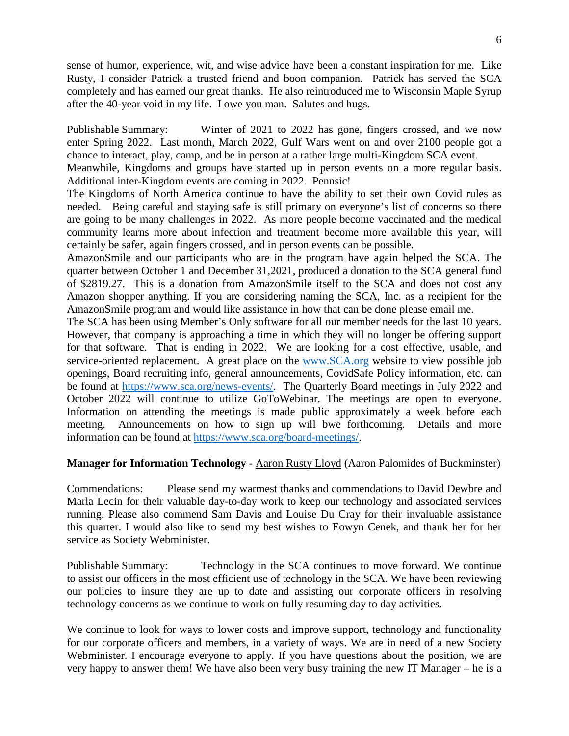sense of humor, experience, wit, and wise advice have been a constant inspiration for me. Like Rusty, I consider Patrick a trusted friend and boon companion. Patrick has served the SCA completely and has earned our great thanks. He also reintroduced me to Wisconsin Maple Syrup after the 40-year void in my life. I owe you man. Salutes and hugs.

Publishable Summary: Winter of 2021 to 2022 has gone, fingers crossed, and we now enter Spring 2022. Last month, March 2022, Gulf Wars went on and over 2100 people got a chance to interact, play, camp, and be in person at a rather large multi-Kingdom SCA event.

Meanwhile, Kingdoms and groups have started up in person events on a more regular basis. Additional inter-Kingdom events are coming in 2022. Pennsic!

The Kingdoms of North America continue to have the ability to set their own Covid rules as needed. Being careful and staying safe is still primary on everyone's list of concerns so there are going to be many challenges in 2022. As more people become vaccinated and the medical community learns more about infection and treatment become more available this year, will certainly be safer, again fingers crossed, and in person events can be possible.

AmazonSmile and our participants who are in the program have again helped the SCA. The quarter between October 1 and December 31,2021, produced a donation to the SCA general fund of \$2819.27. This is a donation from AmazonSmile itself to the SCA and does not cost any Amazon shopper anything. If you are considering naming the SCA, Inc. as a recipient for the AmazonSmile program and would like assistance in how that can be done please email me.

The SCA has been using Member's Only software for all our member needs for the last 10 years. However, that company is approaching a time in which they will no longer be offering support for that software. That is ending in 2022. We are looking for a cost effective, usable, and service-oriented replacement. A great place on the [www.SCA.org](http://www.sca.org/) website to view possible job openings, Board recruiting info, general announcements, CovidSafe Policy information, etc. can be found at [https://www.sca.org/news-events/.](https://www.sca.org/news-events/) The Quarterly Board meetings in July 2022 and October 2022 will continue to utilize GoToWebinar. The meetings are open to everyone. Information on attending the meetings is made public approximately a week before each meeting. Announcements on how to sign up will bwe forthcoming. Details and more information can be found at [https://www.sca.org/board-meetings/.](https://www.sca.org/board-meetings/)

#### **Manager for Information Technology** - [Aaron Rusty Lloyd](http://www.facebook.com/rustmon) (Aaron Palomides of Buckminster)

Commendations: Please send my warmest thanks and commendations to David Dewbre and Marla Lecin for their valuable day-to-day work to keep our technology and associated services running. Please also commend Sam Davis and Louise Du Cray for their invaluable assistance this quarter. I would also like to send my best wishes to Eowyn Cenek, and thank her for her service as Society Webminister.

Publishable Summary: Technology in the SCA continues to move forward. We continue to assist our officers in the most efficient use of technology in the SCA. We have been reviewing our policies to insure they are up to date and assisting our corporate officers in resolving technology concerns as we continue to work on fully resuming day to day activities.

We continue to look for ways to lower costs and improve support, technology and functionality for our corporate officers and members, in a variety of ways. We are in need of a new Society Webminister. I encourage everyone to apply. If you have questions about the position, we are very happy to answer them! We have also been very busy training the new IT Manager – he is a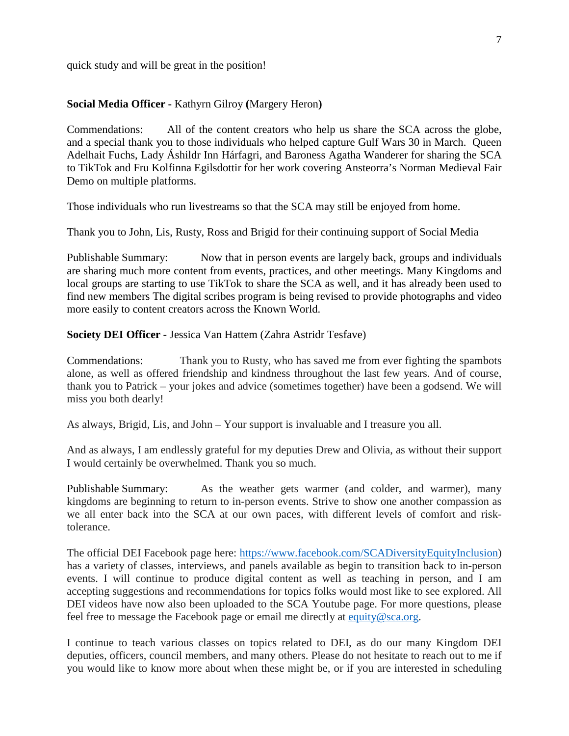quick study and will be great in the position!

### **Social Media Officer -** Kathyrn Gilroy **(**Margery Heron**)**

Commendations: All of the content creators who help us share the SCA across the globe, and a special thank you to those individuals who helped capture Gulf Wars 30 in March. Queen Adelhait Fuchs, Lady Áshildr Inn Hárfagri, and Baroness Agatha Wanderer for sharing the SCA to TikTok and Fru Kolfinna Egilsdottir for her work covering Ansteorra's Norman Medieval Fair Demo on multiple platforms.

Those individuals who run livestreams so that the SCA may still be enjoyed from home.

Thank you to John, Lis, Rusty, Ross and Brigid for their continuing support of Social Media

Publishable Summary: Now that in person events are largely back, groups and individuals are sharing much more content from events, practices, and other meetings. Many Kingdoms and local groups are starting to use TikTok to share the SCA as well, and it has already been used to find new members The digital scribes program is being revised to provide photographs and video more easily to content creators across the Known World.

**Society DEI Officer** - Jessica Van Hattem (Zahra Astridr Tesfave)

Commendations: Thank you to Rusty, who has saved me from ever fighting the spambots alone, as well as offered friendship and kindness throughout the last few years. And of course, thank you to Patrick – your jokes and advice (sometimes together) have been a godsend. We will miss you both dearly!

As always, Brigid, Lis, and John – Your support is invaluable and I treasure you all.

And as always, I am endlessly grateful for my deputies Drew and Olivia, as without their support I would certainly be overwhelmed. Thank you so much.

Publishable Summary: As the weather gets warmer (and colder, and warmer), many kingdoms are beginning to return to in-person events. Strive to show one another compassion as we all enter back into the SCA at our own paces, with different levels of comfort and risktolerance.

The official DEI Facebook page here: [https://www.facebook.com/SCADiversityEquityInclusion\)](https://www.facebook.com/SCADiversityEquityInclusion) has a variety of classes, interviews, and panels available as begin to transition back to in-person events. I will continue to produce digital content as well as teaching in person, and I am accepting suggestions and recommendations for topics folks would most like to see explored. All DEI videos have now also been uploaded to the SCA Youtube page. For more questions, please feel free to message the Facebook page or email me directly at [equity@sca.org.](mailto:equity@sca.org)

I continue to teach various classes on topics related to DEI, as do our many Kingdom DEI deputies, officers, council members, and many others. Please do not hesitate to reach out to me if you would like to know more about when these might be, or if you are interested in scheduling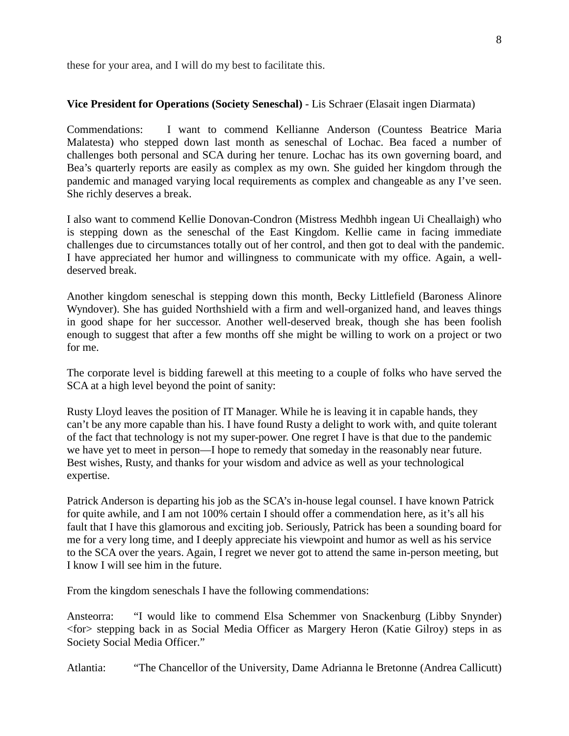these for your area, and I will do my best to facilitate this.

#### **Vice President for Operations (Society Seneschal)** - Lis Schraer (Elasait ingen Diarmata)

Commendations: I want to commend Kellianne Anderson (Countess Beatrice Maria Malatesta) who stepped down last month as seneschal of Lochac. Bea faced a number of challenges both personal and SCA during her tenure. Lochac has its own governing board, and Bea's quarterly reports are easily as complex as my own. She guided her kingdom through the pandemic and managed varying local requirements as complex and changeable as any I've seen. She richly deserves a break.

I also want to commend Kellie Donovan-Condron (Mistress Medhbh ingean Ui Cheallaigh) who is stepping down as the seneschal of the East Kingdom. Kellie came in facing immediate challenges due to circumstances totally out of her control, and then got to deal with the pandemic. I have appreciated her humor and willingness to communicate with my office. Again, a welldeserved break.

Another kingdom seneschal is stepping down this month, Becky Littlefield (Baroness Alinore Wyndover). She has guided Northshield with a firm and well-organized hand, and leaves things in good shape for her successor. Another well-deserved break, though she has been foolish enough to suggest that after a few months off she might be willing to work on a project or two for me.

The corporate level is bidding farewell at this meeting to a couple of folks who have served the SCA at a high level beyond the point of sanity:

Rusty Lloyd leaves the position of IT Manager. While he is leaving it in capable hands, they can't be any more capable than his. I have found Rusty a delight to work with, and quite tolerant of the fact that technology is not my super-power. One regret I have is that due to the pandemic we have yet to meet in person—I hope to remedy that someday in the reasonably near future. Best wishes, Rusty, and thanks for your wisdom and advice as well as your technological expertise.

Patrick Anderson is departing his job as the SCA's in-house legal counsel. I have known Patrick for quite awhile, and I am not 100% certain I should offer a commendation here, as it's all his fault that I have this glamorous and exciting job. Seriously, Patrick has been a sounding board for me for a very long time, and I deeply appreciate his viewpoint and humor as well as his service to the SCA over the years. Again, I regret we never got to attend the same in-person meeting, but I know I will see him in the future.

From the kingdom seneschals I have the following commendations:

Ansteorra: "I would like to commend Elsa Schemmer von Snackenburg (Libby Snynder) <for> stepping back in as Social Media Officer as Margery Heron (Katie Gilroy) steps in as Society Social Media Officer."

Atlantia: "The Chancellor of the University, Dame Adrianna le Bretonne (Andrea Callicutt)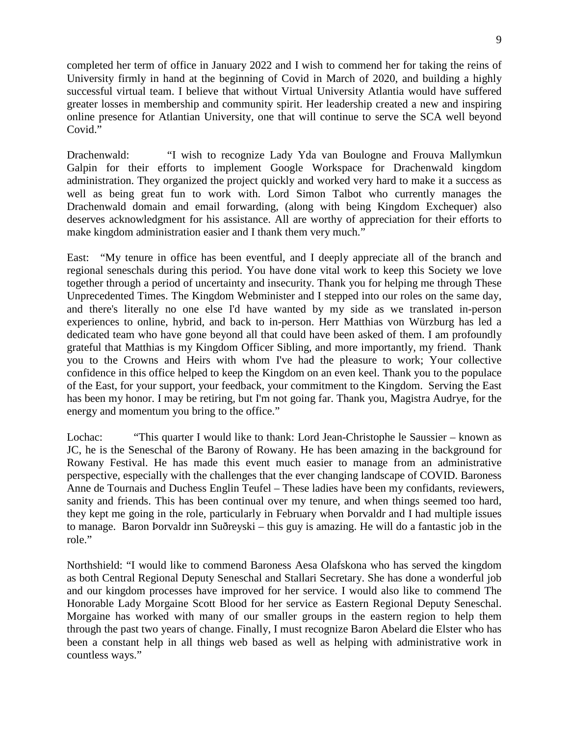completed her term of office in January 2022 and I wish to commend her for taking the reins of University firmly in hand at the beginning of Covid in March of 2020, and building a highly successful virtual team. I believe that without Virtual University Atlantia would have suffered greater losses in membership and community spirit. Her leadership created a new and inspiring online presence for Atlantian University, one that will continue to serve the SCA well beyond Covid."

Drachenwald: "I wish to recognize Lady Yda van Boulogne and Frouva Mallymkun Galpin for their efforts to implement Google Workspace for Drachenwald kingdom administration. They organized the project quickly and worked very hard to make it a success as well as being great fun to work with. Lord Simon Talbot who currently manages the Drachenwald domain and email forwarding, (along with being Kingdom Exchequer) also deserves acknowledgment for his assistance. All are worthy of appreciation for their efforts to make kingdom administration easier and I thank them very much."

East: "My tenure in office has been eventful, and I deeply appreciate all of the branch and regional seneschals during this period. You have done vital work to keep this Society we love together through a period of uncertainty and insecurity. Thank you for helping me through These Unprecedented Times. The Kingdom Webminister and I stepped into our roles on the same day, and there's literally no one else I'd have wanted by my side as we translated in-person experiences to online, hybrid, and back to in-person. Herr Matthias von Würzburg has led a dedicated team who have gone beyond all that could have been asked of them. I am profoundly grateful that Matthias is my Kingdom Officer Sibling, and more importantly, my friend. Thank you to the Crowns and Heirs with whom I've had the pleasure to work; Your collective confidence in this office helped to keep the Kingdom on an even keel. Thank you to the populace of the East, for your support, your feedback, your commitment to the Kingdom. Serving the East has been my honor. I may be retiring, but I'm not going far. Thank you, Magistra Audrye, for the energy and momentum you bring to the office."

Lochac: "This quarter I would like to thank: Lord Jean-Christophe le Saussier – known as JC, he is the Seneschal of the Barony of Rowany. He has been amazing in the background for Rowany Festival. He has made this event much easier to manage from an administrative perspective, especially with the challenges that the ever changing landscape of COVID. Baroness Anne de Tournais and Duchess Englin Teufel – These ladies have been my confidants, reviewers, sanity and friends. This has been continual over my tenure, and when things seemed too hard, they kept me going in the role, particularly in February when Þorvaldr and I had multiple issues to manage. Baron Þorvaldr inn Suðreyski – this guy is amazing. He will do a fantastic job in the role."

Northshield: "I would like to commend Baroness Aesa Olafskona who has served the kingdom as both Central Regional Deputy Seneschal and Stallari Secretary. She has done a wonderful job and our kingdom processes have improved for her service. I would also like to commend The Honorable Lady Morgaine Scott Blood for her service as Eastern Regional Deputy Seneschal. Morgaine has worked with many of our smaller groups in the eastern region to help them through the past two years of change. Finally, I must recognize Baron Abelard die Elster who has been a constant help in all things web based as well as helping with administrative work in countless ways."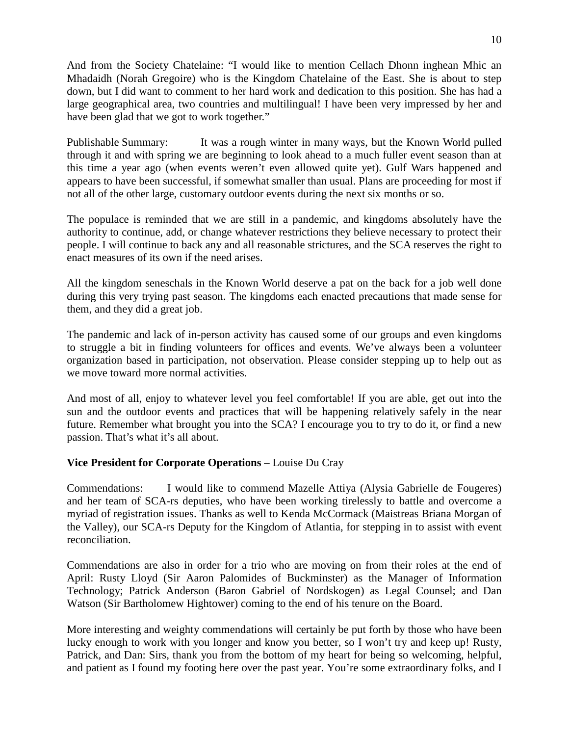And from the Society Chatelaine: "I would like to mention Cellach Dhonn inghean Mhic an Mhadaidh (Norah Gregoire) who is the Kingdom Chatelaine of the East. She is about to step down, but I did want to comment to her hard work and dedication to this position. She has had a large geographical area, two countries and multilingual! I have been very impressed by her and have been glad that we got to work together."

Publishable Summary: It was a rough winter in many ways, but the Known World pulled through it and with spring we are beginning to look ahead to a much fuller event season than at this time a year ago (when events weren't even allowed quite yet). Gulf Wars happened and appears to have been successful, if somewhat smaller than usual. Plans are proceeding for most if not all of the other large, customary outdoor events during the next six months or so.

The populace is reminded that we are still in a pandemic, and kingdoms absolutely have the authority to continue, add, or change whatever restrictions they believe necessary to protect their people. I will continue to back any and all reasonable strictures, and the SCA reserves the right to enact measures of its own if the need arises.

All the kingdom seneschals in the Known World deserve a pat on the back for a job well done during this very trying past season. The kingdoms each enacted precautions that made sense for them, and they did a great job.

The pandemic and lack of in-person activity has caused some of our groups and even kingdoms to struggle a bit in finding volunteers for offices and events. We've always been a volunteer organization based in participation, not observation. Please consider stepping up to help out as we move toward more normal activities.

And most of all, enjoy to whatever level you feel comfortable! If you are able, get out into the sun and the outdoor events and practices that will be happening relatively safely in the near future. Remember what brought you into the SCA? I encourage you to try to do it, or find a new passion. That's what it's all about.

## **Vice President for Corporate Operations** – Louise Du Cray

Commendations: I would like to commend Mazelle Attiya (Alysia Gabrielle de Fougeres) and her team of SCA-rs deputies, who have been working tirelessly to battle and overcome a myriad of registration issues. Thanks as well to Kenda McCormack (Maistreas Briana Morgan of the Valley), our SCA-rs Deputy for the Kingdom of Atlantia, for stepping in to assist with event reconciliation.

Commendations are also in order for a trio who are moving on from their roles at the end of April: Rusty Lloyd (Sir Aaron Palomides of Buckminster) as the Manager of Information Technology; Patrick Anderson (Baron Gabriel of Nordskogen) as Legal Counsel; and Dan Watson (Sir Bartholomew Hightower) coming to the end of his tenure on the Board.

More interesting and weighty commendations will certainly be put forth by those who have been lucky enough to work with you longer and know you better, so I won't try and keep up! Rusty, Patrick, and Dan: Sirs, thank you from the bottom of my heart for being so welcoming, helpful, and patient as I found my footing here over the past year. You're some extraordinary folks, and I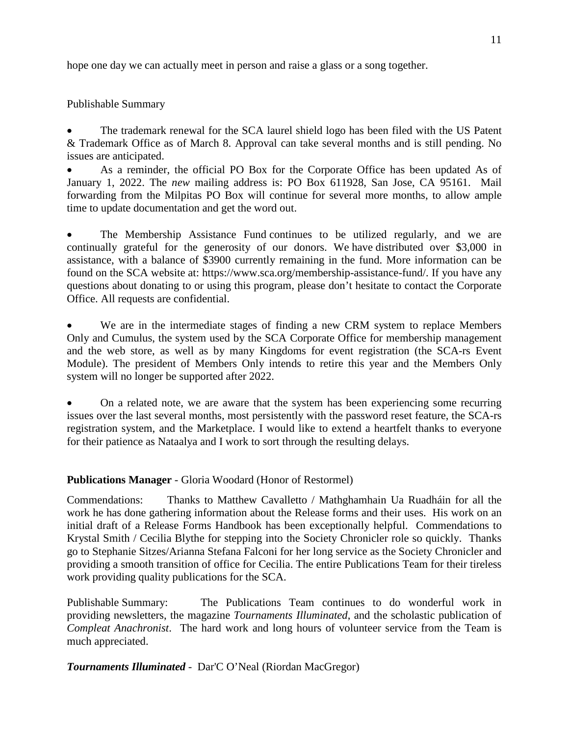hope one day we can actually meet in person and raise a glass or a song together.

Publishable Summary

• The trademark renewal for the SCA laurel shield logo has been filed with the US Patent & Trademark Office as of March 8. Approval can take several months and is still pending. No issues are anticipated.

• As a reminder, the official PO Box for the Corporate Office has been updated As of January 1, 2022. The *new* mailing address is: PO Box 611928, San Jose, CA 95161. Mail forwarding from the Milpitas PO Box will continue for several more months, to allow ample time to update documentation and get the word out.

The Membership Assistance Fund continues to be utilized regularly, and we are continually grateful for the generosity of our donors. We have distributed over \$3,000 in assistance, with a balance of \$3900 currently remaining in the fund. More information can be found on the SCA website at: https://www.sca.org/membership-assistance-fund/. If you have any questions about donating to or using this program, please don't hesitate to contact the Corporate Office. All requests are confidential.

We are in the intermediate stages of finding a new CRM system to replace Members Only and Cumulus, the system used by the SCA Corporate Office for membership management and the web store, as well as by many Kingdoms for event registration (the SCA-rs Event Module). The president of Members Only intends to retire this year and the Members Only system will no longer be supported after 2022.

• On a related note, we are aware that the system has been experiencing some recurring issues over the last several months, most persistently with the password reset feature, the SCA-rs registration system, and the Marketplace. I would like to extend a heartfelt thanks to everyone for their patience as Nataalya and I work to sort through the resulting delays.

## **Publications Manager** - Gloria Woodard (Honor of Restormel)

Commendations: Thanks to Matthew Cavalletto / Mathghamhain Ua Ruadháin for all the work he has done gathering information about the Release forms and their uses. His work on an initial draft of a Release Forms Handbook has been exceptionally helpful. Commendations to Krystal Smith / Cecilia Blythe for stepping into the Society Chronicler role so quickly. Thanks go to Stephanie Sitzes/Arianna Stefana Falconi for her long service as the Society Chronicler and providing a smooth transition of office for Cecilia. The entire Publications Team for their tireless work providing quality publications for the SCA.

Publishable Summary: The Publications Team continues to do wonderful work in providing newsletters, the magazine *Tournaments Illuminated*, and the scholastic publication of *Compleat Anachronist*. The hard work and long hours of volunteer service from the Team is much appreciated.

*Tournaments Illuminated -* Dar'C O'Neal (Riordan MacGregor)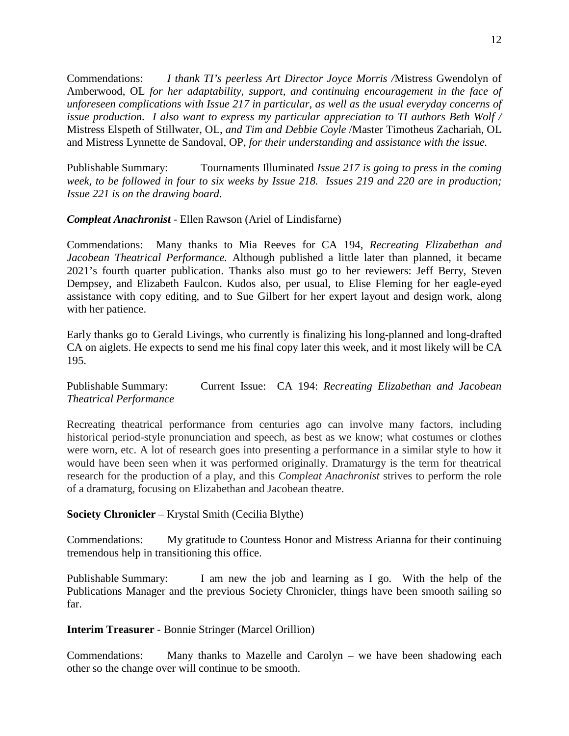Commendations: *I thank TI's peerless Art Director Joyce Morris /*Mistress Gwendolyn of Amberwood, OL *for her adaptability, support, and continuing encouragement in the face of unforeseen complications with Issue 217 in particular, as well as the usual everyday concerns of issue production. I also want to express my particular appreciation to TI authors Beth Wolf /* Mistress Elspeth of Stillwater, OL, *and Tim and Debbie Coyle* /Master Timotheus Zachariah, OL and Mistress Lynnette de Sandoval, OP, *for their understanding and assistance with the issue.*

Publishable Summary: Tournaments Illuminated *Issue 217 is going to press in the coming week, to be followed in four to six weeks by Issue 218. Issues 219 and 220 are in production; Issue 221 is on the drawing board.*

## *Compleat Anachronist -* Ellen Rawson (Ariel of Lindisfarne)

Commendations: Many thanks to Mia Reeves for CA 194, *Recreating Elizabethan and Jacobean Theatrical Performance.* Although published a little later than planned, it became 2021's fourth quarter publication. Thanks also must go to her reviewers: Jeff Berry, Steven Dempsey, and Elizabeth Faulcon. Kudos also, per usual, to Elise Fleming for her eagle-eyed assistance with copy editing, and to Sue Gilbert for her expert layout and design work, along with her patience.

Early thanks go to Gerald Livings, who currently is finalizing his long-planned and long-drafted CA on aiglets. He expects to send me his final copy later this week, and it most likely will be CA 195.

Publishable Summary: Current Issue: CA 194: *Recreating Elizabethan and Jacobean Theatrical Performance*

Recreating theatrical performance from centuries ago can involve many factors, including historical period-style pronunciation and speech, as best as we know; what costumes or clothes were worn, etc. A lot of research goes into presenting a performance in a similar style to how it would have been seen when it was performed originally. Dramaturgy is the term for theatrical research for the production of a play, and this *Compleat Anachronist* strives to perform the role of a dramaturg, focusing on Elizabethan and Jacobean theatre.

## **Society Chronicler** – Krystal Smith (Cecilia Blythe)

Commendations: My gratitude to Countess Honor and Mistress Arianna for their continuing tremendous help in transitioning this office.

Publishable Summary: I am new the job and learning as I go. With the help of the Publications Manager and the previous Society Chronicler, things have been smooth sailing so far.

#### **Interim Treasurer** - Bonnie Stringer (Marcel Orillion)

Commendations: Many thanks to Mazelle and Carolyn – we have been shadowing each other so the change over will continue to be smooth.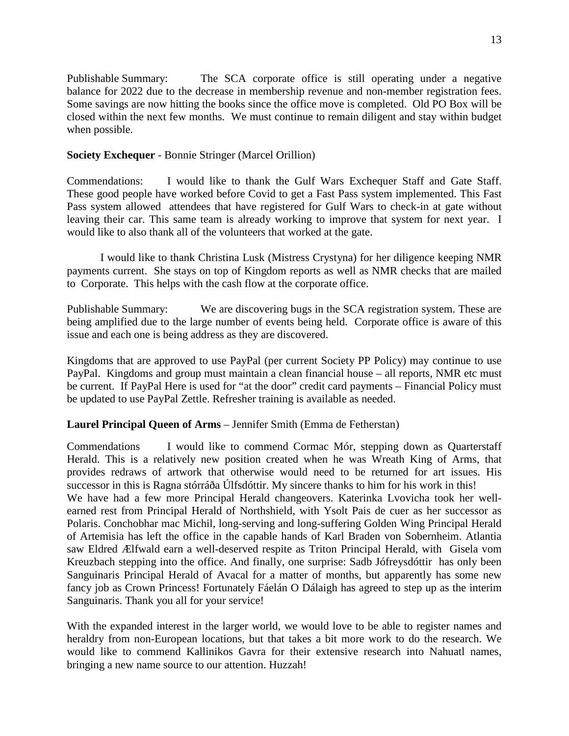Publishable Summary: The SCA corporate office is still operating under a negative balance for 2022 due to the decrease in membership revenue and non-member registration fees. Some savings are now hitting the books since the office move is completed. Old PO Box will be closed within the next few months. We must continue to remain diligent and stay within budget when possible.

## **Society Exchequer** - Bonnie Stringer (Marcel Orillion)

Commendations: I would like to thank the Gulf Wars Exchequer Staff and Gate Staff. These good people have worked before Covid to get a Fast Pass system implemented. This Fast Pass system allowed attendees that have registered for Gulf Wars to check-in at gate without leaving their car. This same team is already working to improve that system for next year. I would like to also thank all of the volunteers that worked at the gate.

I would like to thank Christina Lusk (Mistress Crystyna) for her diligence keeping NMR payments current. She stays on top of Kingdom reports as well as NMR checks that are mailed to Corporate. This helps with the cash flow at the corporate office.

Publishable Summary: We are discovering bugs in the SCA registration system. These are being amplified due to the large number of events being held. Corporate office is aware of this issue and each one is being address as they are discovered.

Kingdoms that are approved to use PayPal (per current Society PP Policy) may continue to use PayPal. Kingdoms and group must maintain a clean financial house – all reports, NMR etc must be current. If PayPal Here is used for "at the door" credit card payments – Financial Policy must be updated to use PayPal Zettle. Refresher training is available as needed.

## **Laurel Principal Queen of Arms** – Jennifer Smith (Emma de Fetherstan)

Commendations I would like to commend Cormac Mór, stepping down as Quarterstaff Herald. This is a relatively new position created when he was Wreath King of Arms, that provides redraws of artwork that otherwise would need to be returned for art issues. His successor in this is Ragna stórráða Úlfsdóttir. My sincere thanks to him for his work in this!

We have had a few more Principal Herald changeovers. Katerinka Lvovicha took her wellearned rest from Principal Herald of Northshield, with Ysolt Pais de cuer as her successor as Polaris. Conchobhar mac Michil, long-serving and long-suffering Golden Wing Principal Herald of Artemisia has left the office in the capable hands of Karl Braden von Sobernheim. Atlantia saw Eldred Ælfwald earn a well-deserved respite as Triton Principal Herald, with Gisela vom Kreuzbach stepping into the office. And finally, one surprise: Sadb Jófreysdóttir has only been Sanguinaris Principal Herald of Avacal for a matter of months, but apparently has some new fancy job as Crown Princess! Fortunately Fáelán O Dálaigh has agreed to step up as the interim Sanguinaris. Thank you all for your service!

With the expanded interest in the larger world, we would love to be able to register names and heraldry from non-European locations, but that takes a bit more work to do the research. We would like to commend Kallinikos Gavra for their extensive research into Nahuatl names, bringing a new name source to our attention. Huzzah!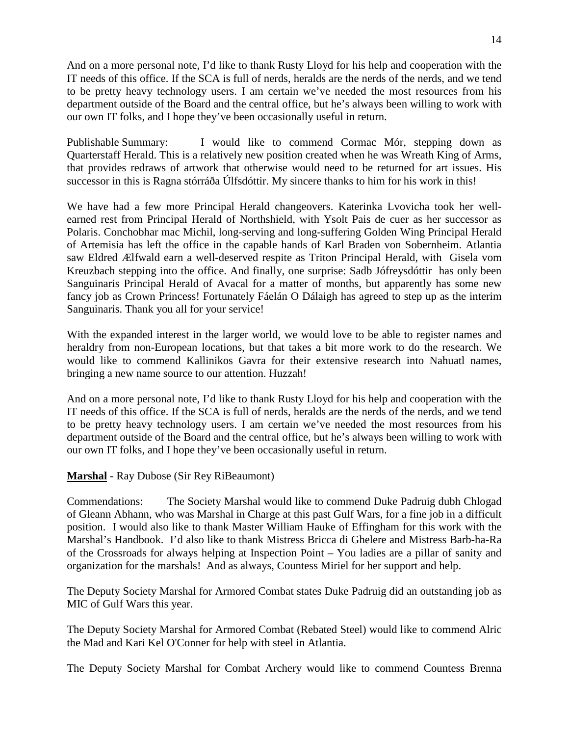And on a more personal note, I'd like to thank Rusty Lloyd for his help and cooperation with the IT needs of this office. If the SCA is full of nerds, heralds are the nerds of the nerds, and we tend to be pretty heavy technology users. I am certain we've needed the most resources from his department outside of the Board and the central office, but he's always been willing to work with our own IT folks, and I hope they've been occasionally useful in return.

Publishable Summary: I would like to commend Cormac Mór, stepping down as Quarterstaff Herald. This is a relatively new position created when he was Wreath King of Arms, that provides redraws of artwork that otherwise would need to be returned for art issues. His successor in this is Ragna stórráða Úlfsdóttir. My sincere thanks to him for his work in this!

We have had a few more Principal Herald changeovers. Katerinka Lvovicha took her wellearned rest from Principal Herald of Northshield, with Ysolt Pais de cuer as her successor as Polaris. Conchobhar mac Michil, long-serving and long-suffering Golden Wing Principal Herald of Artemisia has left the office in the capable hands of Karl Braden von Sobernheim. Atlantia saw Eldred Ælfwald earn a well-deserved respite as Triton Principal Herald, with Gisela vom Kreuzbach stepping into the office. And finally, one surprise: Sadb Jófreysdóttir has only been Sanguinaris Principal Herald of Avacal for a matter of months, but apparently has some new fancy job as Crown Princess! Fortunately Fáelán O Dálaigh has agreed to step up as the interim Sanguinaris. Thank you all for your service!

With the expanded interest in the larger world, we would love to be able to register names and heraldry from non-European locations, but that takes a bit more work to do the research. We would like to commend Kallinikos Gavra for their extensive research into Nahuatl names, bringing a new name source to our attention. Huzzah!

And on a more personal note, I'd like to thank Rusty Lloyd for his help and cooperation with the IT needs of this office. If the SCA is full of nerds, heralds are the nerds of the nerds, and we tend to be pretty heavy technology users. I am certain we've needed the most resources from his department outside of the Board and the central office, but he's always been willing to work with our own IT folks, and I hope they've been occasionally useful in return.

## **Marshal** - Ray Dubose (Sir Rey RiBeaumont)

Commendations: The Society Marshal would like to commend Duke Padruig dubh Chlogad of Gleann Abhann, who was Marshal in Charge at this past Gulf Wars, for a fine job in a difficult position. I would also like to thank Master William Hauke of Effingham for this work with the Marshal's Handbook. I'd also like to thank Mistress Bricca di Ghelere and Mistress Barb-ha-Ra of the Crossroads for always helping at Inspection Point – You ladies are a pillar of sanity and organization for the marshals! And as always, Countess Miriel for her support and help.

The Deputy Society Marshal for Armored Combat states Duke Padruig did an outstanding job as MIC of Gulf Wars this year.

The Deputy Society Marshal for Armored Combat (Rebated Steel) would like to commend Alric the Mad and Kari Kel O'Conner for help with steel in Atlantia.

The Deputy Society Marshal for Combat Archery would like to commend Countess Brenna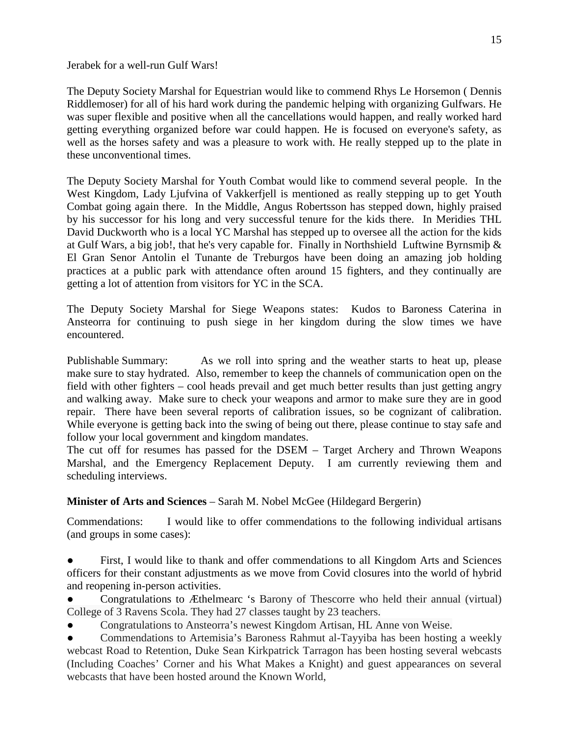Jerabek for a well-run Gulf Wars!

The Deputy Society Marshal for Equestrian would like to commend Rhys Le Horsemon ( Dennis Riddlemoser) for all of his hard work during the pandemic helping with organizing Gulfwars. He was super flexible and positive when all the cancellations would happen, and really worked hard getting everything organized before war could happen. He is focused on everyone's safety, as well as the horses safety and was a pleasure to work with. He really stepped up to the plate in these unconventional times.

The Deputy Society Marshal for Youth Combat would like to commend several people. In the West Kingdom, Lady Ljufvina of Vakkerfjell is mentioned as really stepping up to get Youth Combat going again there. In the Middle, Angus Robertsson has stepped down, highly praised by his successor for his long and very successful tenure for the kids there. In Meridies THL David Duckworth who is a local YC Marshal has stepped up to oversee all the action for the kids at Gulf Wars, a big job!, that he's very capable for. Finally in Northshield Luftwine Byrnsmiþ & El Gran Senor Antolin el Tunante de Treburgos have been doing an amazing job holding practices at a public park with attendance often around 15 fighters, and they continually are getting a lot of attention from visitors for YC in the SCA.

The Deputy Society Marshal for Siege Weapons states: Kudos to Baroness Caterina in Ansteorra for continuing to push siege in her kingdom during the slow times we have encountered.

Publishable Summary: As we roll into spring and the weather starts to heat up, please make sure to stay hydrated. Also, remember to keep the channels of communication open on the field with other fighters – cool heads prevail and get much better results than just getting angry and walking away. Make sure to check your weapons and armor to make sure they are in good repair. There have been several reports of calibration issues, so be cognizant of calibration. While everyone is getting back into the swing of being out there, please continue to stay safe and follow your local government and kingdom mandates.

The cut off for resumes has passed for the DSEM – Target Archery and Thrown Weapons Marshal, and the Emergency Replacement Deputy. I am currently reviewing them and scheduling interviews.

**Minister of Arts and Sciences** – Sarah M. Nobel McGee (Hildegard Bergerin)

Commendations: I would like to offer commendations to the following individual artisans (and groups in some cases):

- First, I would like to thank and offer commendations to all Kingdom Arts and Sciences officers for their constant adjustments as we move from Covid closures into the world of hybrid and reopening in-person activities.
- Congratulations to Æthelmearc 's Barony of Thescorre who held their annual (virtual) College of 3 Ravens Scola. They had 27 classes taught by 23 teachers.
- Congratulations to Ansteorra's newest Kingdom Artisan, HL Anne von Weise.
- Commendations to Artemisia's Baroness Rahmut al-Tayyiba has been hosting a weekly webcast Road to Retention, Duke Sean Kirkpatrick Tarragon has been hosting several webcasts (Including Coaches' Corner and his What Makes a Knight) and guest appearances on several webcasts that have been hosted around the Known World,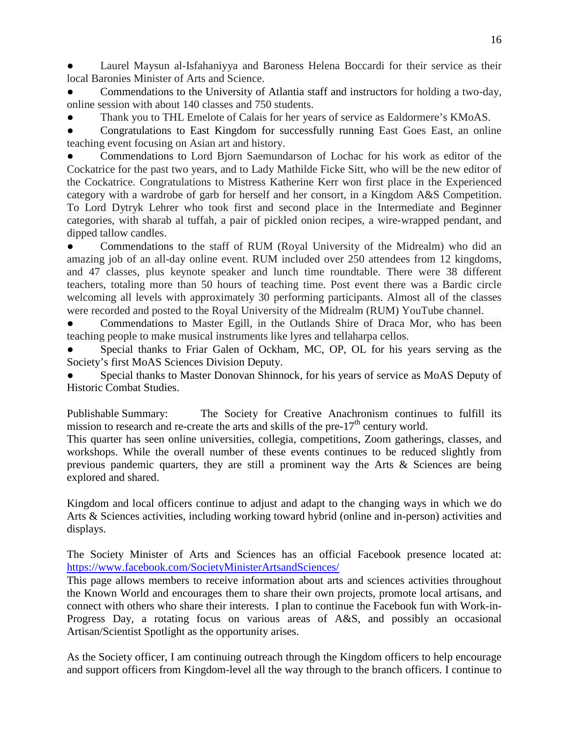Laurel Maysun al-Isfahaniyya and Baroness Helena Boccardi for their service as their local Baronies Minister of Arts and Science.

Commendations to the University of Atlantia staff and instructors for holding a two-day, online session with about 140 classes and 750 students.

Thank you to THL Emelote of Calais for her years of service as Ealdormere's KMoAS.

Congratulations to East Kingdom for successfully running East Goes East, an online teaching event focusing on Asian art and history.

Commendations to Lord Bjorn Saemundarson of Lochac for his work as editor of the Cockatrice for the past two years, and to Lady Mathilde Ficke Sitt, who will be the new editor of the Cockatrice. Congratulations to Mistress Katherine Kerr won first place in the Experienced category with a wardrobe of garb for herself and her consort, in a Kingdom A&S Competition. To Lord Dytryk Lehrer who took first and second place in the Intermediate and Beginner categories, with sharab al tuffah, a pair of pickled onion recipes, a wire-wrapped pendant, and dipped tallow candles.

• Commendations to the staff of RUM (Royal University of the Midrealm) who did an amazing job of an all-day online event. RUM included over 250 attendees from 12 kingdoms, and 47 classes, plus keynote speaker and lunch time roundtable. There were 38 different teachers, totaling more than 50 hours of teaching time. Post event there was a Bardic circle welcoming all levels with approximately 30 performing participants. Almost all of the classes were recorded and posted to the Royal University of the Midrealm (RUM) YouTube channel.

Commendations to Master Egill, in the Outlands Shire of Draca Mor, who has been teaching people to make musical instruments like lyres and tellaharpa cellos.

Special thanks to Friar Galen of Ockham, MC, OP, OL for his years serving as the Society's first MoAS Sciences Division Deputy.

Special thanks to Master Donovan Shinnock, for his years of service as MoAS Deputy of Historic Combat Studies.

Publishable Summary: The Society for Creative Anachronism continues to fulfill its mission to research and re-create the arts and skills of the pre- $17<sup>th</sup>$  century world.

This quarter has seen online universities, collegia, competitions, Zoom gatherings, classes, and workshops. While the overall number of these events continues to be reduced slightly from previous pandemic quarters, they are still a prominent way the Arts & Sciences are being explored and shared.

Kingdom and local officers continue to adjust and adapt to the changing ways in which we do Arts & Sciences activities, including working toward hybrid (online and in-person) activities and displays.

The Society Minister of Arts and Sciences has an official Facebook presence located at: <https://www.facebook.com/SocietyMinisterArtsandSciences/>

This page allows members to receive information about arts and sciences activities throughout the Known World and encourages them to share their own projects, promote local artisans, and connect with others who share their interests. I plan to continue the Facebook fun with Work-in-Progress Day, a rotating focus on various areas of A&S, and possibly an occasional Artisan/Scientist Spotlight as the opportunity arises.

As the Society officer, I am continuing outreach through the Kingdom officers to help encourage and support officers from Kingdom-level all the way through to the branch officers. I continue to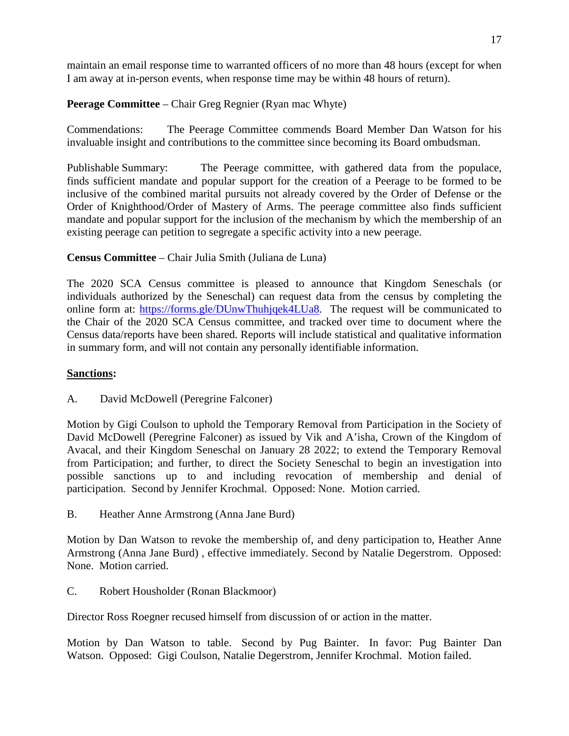maintain an email response time to warranted officers of no more than 48 hours (except for when I am away at in-person events, when response time may be within 48 hours of return).

**Peerage Committee** – Chair Greg Regnier (Ryan mac Whyte)

Commendations: The Peerage Committee commends Board Member Dan Watson for his invaluable insight and contributions to the committee since becoming its Board ombudsman.

Publishable Summary: The Peerage committee, with gathered data from the populace, finds sufficient mandate and popular support for the creation of a Peerage to be formed to be inclusive of the combined marital pursuits not already covered by the Order of Defense or the Order of Knighthood/Order of Mastery of Arms. The peerage committee also finds sufficient mandate and popular support for the inclusion of the mechanism by which the membership of an existing peerage can petition to segregate a specific activity into a new peerage.

## **Census Committee** – Chair Julia Smith (Juliana de Luna)

The 2020 SCA Census committee is pleased to announce that Kingdom Seneschals (or individuals authorized by the Seneschal) can request data from the census by completing the online form at: [https://forms.gle/DUnwThuhjqek4LUa8.](https://forms.gle/DUnwThuhjqek4LUa8) The request will be communicated to the Chair of the 2020 SCA Census committee, and tracked over time to document where the Census data/reports have been shared. Reports will include statistical and qualitative information in summary form, and will not contain any personally identifiable information.

## **Sanctions:**

A. David McDowell (Peregrine Falconer)

Motion by Gigi Coulson to uphold the Temporary Removal from Participation in the Society of David McDowell (Peregrine Falconer) as issued by Vik and A'isha, Crown of the Kingdom of Avacal, and their Kingdom Seneschal on January 28 2022; to extend the Temporary Removal from Participation; and further, to direct the Society Seneschal to begin an investigation into possible sanctions up to and including revocation of membership and denial of participation. Second by Jennifer Krochmal. Opposed: None. Motion carried.

B. Heather Anne Armstrong (Anna Jane Burd)

Motion by Dan Watson to revoke the membership of, and deny participation to, Heather Anne Armstrong (Anna Jane Burd) , effective immediately. Second by Natalie Degerstrom. Opposed: None. Motion carried.

C. Robert Housholder (Ronan Blackmoor)

Director Ross Roegner recused himself from discussion of or action in the matter.

Motion by Dan Watson to table. Second by Pug Bainter. In favor: Pug Bainter Dan Watson. Opposed: Gigi Coulson, Natalie Degerstrom, Jennifer Krochmal. Motion failed.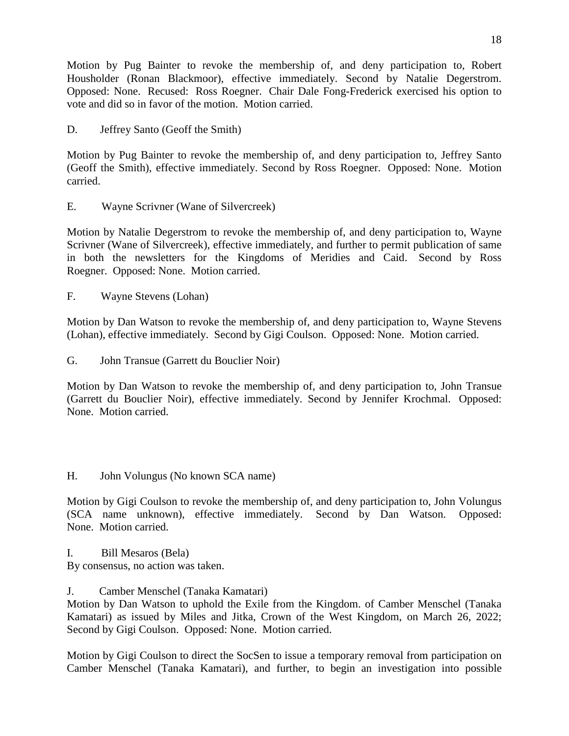Motion by Pug Bainter to revoke the membership of, and deny participation to, Robert Housholder (Ronan Blackmoor), effective immediately. Second by Natalie Degerstrom. Opposed: None. Recused: Ross Roegner. Chair Dale Fong-Frederick exercised his option to vote and did so in favor of the motion. Motion carried.

D. Jeffrey Santo (Geoff the Smith)

Motion by Pug Bainter to revoke the membership of, and deny participation to, Jeffrey Santo (Geoff the Smith), effective immediately. Second by Ross Roegner. Opposed: None. Motion carried.

E. Wayne Scrivner (Wane of Silvercreek)

Motion by Natalie Degerstrom to revoke the membership of, and deny participation to, Wayne Scrivner (Wane of Silvercreek), effective immediately, and further to permit publication of same in both the newsletters for the Kingdoms of Meridies and Caid. Second by Ross Roegner. Opposed: None. Motion carried.

F. Wayne Stevens (Lohan)

Motion by Dan Watson to revoke the membership of, and deny participation to, Wayne Stevens (Lohan), effective immediately. Second by Gigi Coulson. Opposed: None. Motion carried.

G. John Transue (Garrett du Bouclier Noir)

Motion by Dan Watson to revoke the membership of, and deny participation to, John Transue (Garrett du Bouclier Noir), effective immediately. Second by Jennifer Krochmal. Opposed: None. Motion carried.

H. John Volungus (No known SCA name)

Motion by Gigi Coulson to revoke the membership of, and deny participation to, John Volungus (SCA name unknown), effective immediately. Second by Dan Watson. Opposed: None. Motion carried.

I. Bill Mesaros (Bela)

By consensus, no action was taken.

J. Camber Menschel (Tanaka Kamatari)

Motion by Dan Watson to uphold the Exile from the Kingdom. of Camber Menschel (Tanaka Kamatari) as issued by Miles and Jitka, Crown of the West Kingdom, on March 26, 2022; Second by Gigi Coulson. Opposed: None. Motion carried.

Motion by Gigi Coulson to direct the SocSen to issue a temporary removal from participation on Camber Menschel (Tanaka Kamatari), and further, to begin an investigation into possible